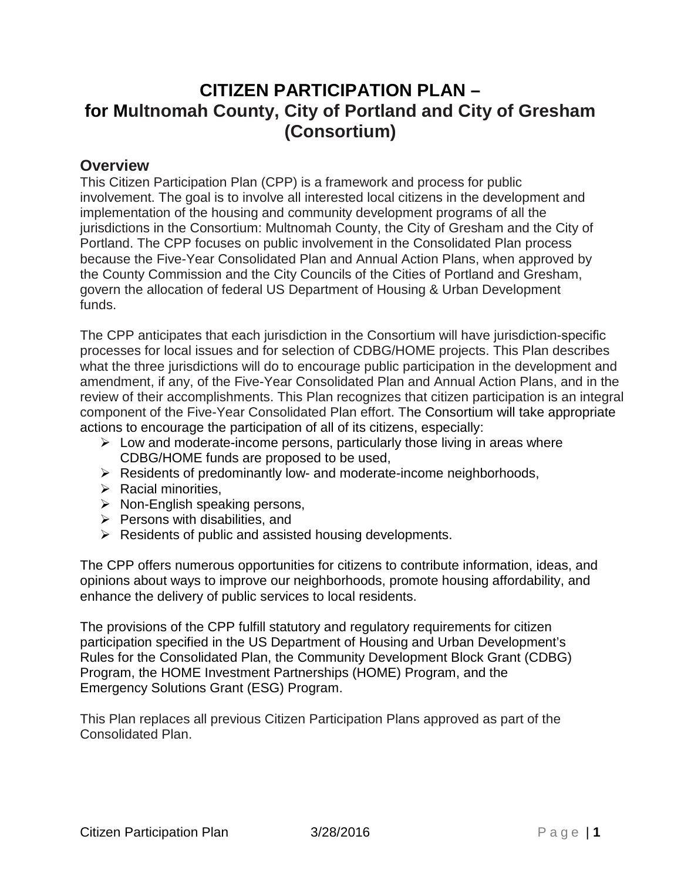# **CITIZEN PARTICIPATION PLAN – for Multnomah County, City of Portland and City of Gresham (Consortium)**

#### **Overview**

This Citizen Participation Plan (CPP) is a framework and process for public involvement. The goal is to involve all interested local citizens in the development and implementation of the housing and community development programs of all the jurisdictions in the Consortium: Multnomah County, the City of Gresham and the City of Portland. The CPP focuses on public involvement in the Consolidated Plan process because the Five-Year Consolidated Plan and Annual Action Plans, when approved by the County Commission and the City Councils of the Cities of Portland and Gresham, govern the allocation of federal US Department of Housing & Urban Development funds.

The CPP anticipates that each jurisdiction in the Consortium will have jurisdiction-specific processes for local issues and for selection of CDBG/HOME projects. This Plan describes what the three jurisdictions will do to encourage public participation in the development and amendment, if any, of the Five-Year Consolidated Plan and Annual Action Plans, and in the review of their accomplishments. This Plan recognizes that citizen participation is an integral component of the Five-Year Consolidated Plan effort. The Consortium will take appropriate actions to encourage the participation of all of its citizens, especially:

- $\triangleright$  Low and moderate-income persons, particularly those living in areas where CDBG/HOME funds are proposed to be used,
- $\triangleright$  Residents of predominantly low- and moderate-income neighborhoods,
- $\triangleright$  Racial minorities,
- $\triangleright$  Non-English speaking persons,
- $\triangleright$  Persons with disabilities, and
- $\triangleright$  Residents of public and assisted housing developments.

The CPP offers numerous opportunities for citizens to contribute information, ideas, and opinions about ways to improve our neighborhoods, promote housing affordability, and enhance the delivery of public services to local residents.

The provisions of the CPP fulfill statutory and regulatory requirements for citizen participation specified in the US Department of Housing and Urban Development's Rules for the Consolidated Plan, the Community Development Block Grant (CDBG) Program, the HOME Investment Partnerships (HOME) Program, and the Emergency Solutions Grant (ESG) Program.

This Plan replaces all previous Citizen Participation Plans approved as part of the Consolidated Plan.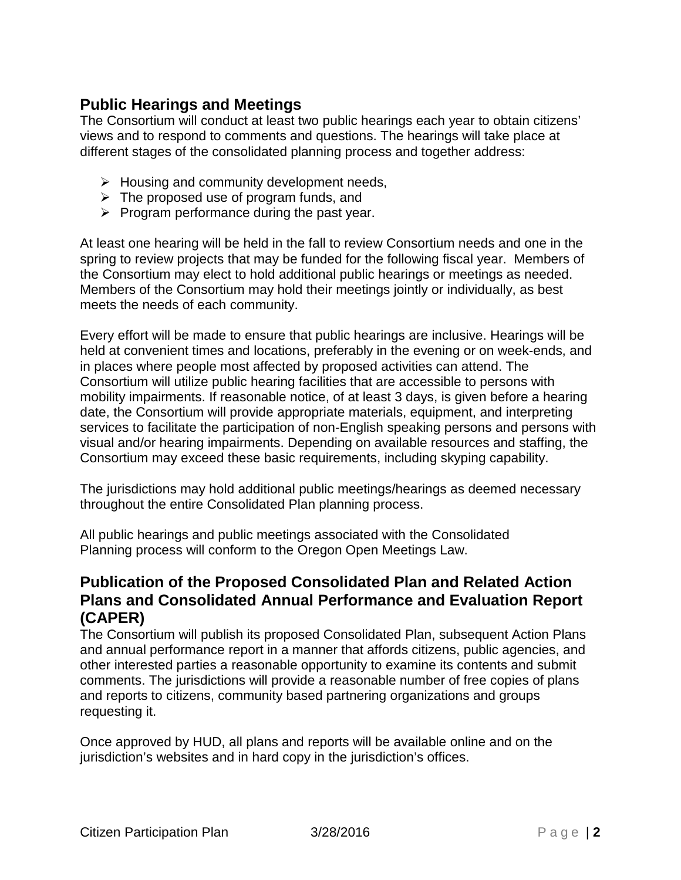# **Public Hearings and Meetings**

The Consortium will conduct at least two public hearings each year to obtain citizens' views and to respond to comments and questions. The hearings will take place at different stages of the consolidated planning process and together address:

- $\triangleright$  Housing and community development needs,
- $\triangleright$  The proposed use of program funds, and
- $\triangleright$  Program performance during the past year.

At least one hearing will be held in the fall to review Consortium needs and one in the spring to review projects that may be funded for the following fiscal year. Members of the Consortium may elect to hold additional public hearings or meetings as needed. Members of the Consortium may hold their meetings jointly or individually, as best meets the needs of each community.

Every effort will be made to ensure that public hearings are inclusive. Hearings will be held at convenient times and locations, preferably in the evening or on week-ends, and in places where people most affected by proposed activities can attend. The Consortium will utilize public hearing facilities that are accessible to persons with mobility impairments. If reasonable notice, of at least 3 days, is given before a hearing date, the Consortium will provide appropriate materials, equipment, and interpreting services to facilitate the participation of non-English speaking persons and persons with visual and/or hearing impairments. Depending on available resources and staffing, the Consortium may exceed these basic requirements, including skyping capability.

The jurisdictions may hold additional public meetings/hearings as deemed necessary throughout the entire Consolidated Plan planning process.

All public hearings and public meetings associated with the Consolidated Planning process will conform to the Oregon Open Meetings Law.

#### **Publication of the Proposed Consolidated Plan and Related Action Plans and Consolidated Annual Performance and Evaluation Report (CAPER)**

The Consortium will publish its proposed Consolidated Plan, subsequent Action Plans and annual performance report in a manner that affords citizens, public agencies, and other interested parties a reasonable opportunity to examine its contents and submit comments. The jurisdictions will provide a reasonable number of free copies of plans and reports to citizens, community based partnering organizations and groups requesting it.

Once approved by HUD, all plans and reports will be available online and on the jurisdiction's websites and in hard copy in the jurisdiction's offices.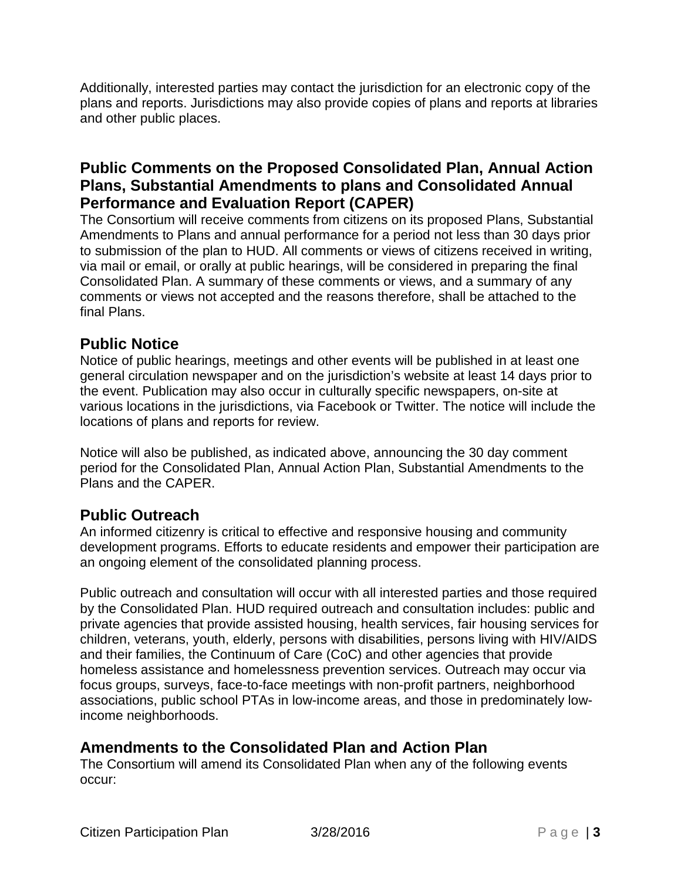Additionally, interested parties may contact the jurisdiction for an electronic copy of the plans and reports. Jurisdictions may also provide copies of plans and reports at libraries and other public places.

## **Public Comments on the Proposed Consolidated Plan, Annual Action Plans, Substantial Amendments to plans and Consolidated Annual Performance and Evaluation Report (CAPER)**

The Consortium will receive comments from citizens on its proposed Plans, Substantial Amendments to Plans and annual performance for a period not less than 30 days prior to submission of the plan to HUD. All comments or views of citizens received in writing, via mail or email, or orally at public hearings, will be considered in preparing the final Consolidated Plan. A summary of these comments or views, and a summary of any comments or views not accepted and the reasons therefore, shall be attached to the final Plans.

## **Public Notice**

Notice of public hearings, meetings and other events will be published in at least one general circulation newspaper and on the jurisdiction's website at least 14 days prior to the event. Publication may also occur in culturally specific newspapers, on-site at various locations in the jurisdictions, via Facebook or Twitter. The notice will include the locations of plans and reports for review.

Notice will also be published, as indicated above, announcing the 30 day comment period for the Consolidated Plan, Annual Action Plan, Substantial Amendments to the Plans and the CAPER.

## **Public Outreach**

An informed citizenry is critical to effective and responsive housing and community development programs. Efforts to educate residents and empower their participation are an ongoing element of the consolidated planning process.

Public outreach and consultation will occur with all interested parties and those required by the Consolidated Plan. HUD required outreach and consultation includes: public and private agencies that provide assisted housing, health services, fair housing services for children, veterans, youth, elderly, persons with disabilities, persons living with HIV/AIDS and their families, the Continuum of Care (CoC) and other agencies that provide homeless assistance and homelessness prevention services. Outreach may occur via focus groups, surveys, face-to-face meetings with non-profit partners, neighborhood associations, public school PTAs in low-income areas, and those in predominately lowincome neighborhoods.

## **Amendments to the Consolidated Plan and Action Plan**

The Consortium will amend its Consolidated Plan when any of the following events occur: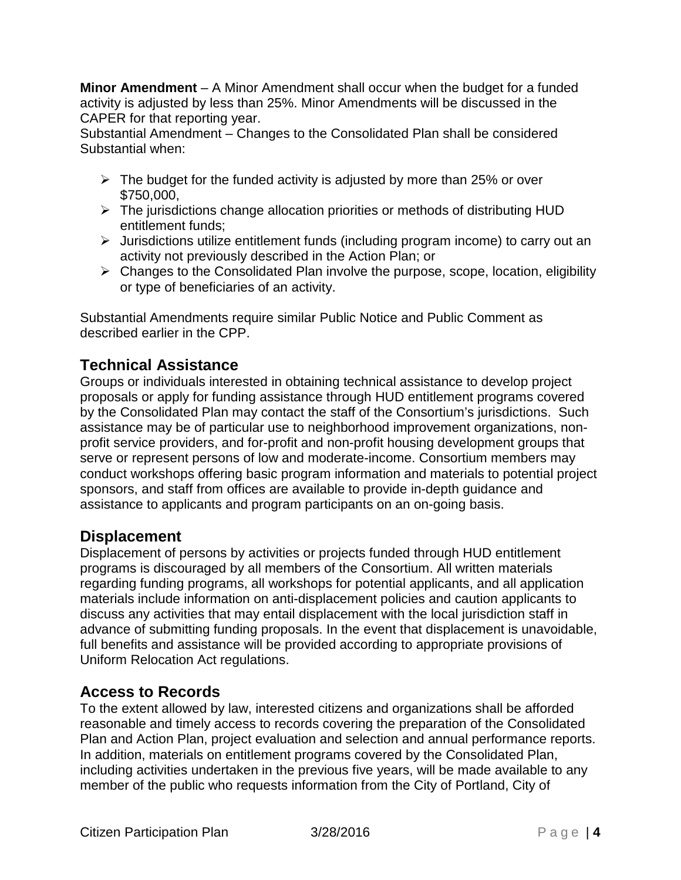**Minor Amendment** – A Minor Amendment shall occur when the budget for a funded activity is adjusted by less than 25%. Minor Amendments will be discussed in the CAPER for that reporting year.

Substantial Amendment – Changes to the Consolidated Plan shall be considered Substantial when:

- $\triangleright$  The budget for the funded activity is adjusted by more than 25% or over \$750,000,
- $\triangleright$  The jurisdictions change allocation priorities or methods of distributing HUD entitlement funds;
- Jurisdictions utilize entitlement funds (including program income) to carry out an activity not previously described in the Action Plan; or
- $\triangleright$  Changes to the Consolidated Plan involve the purpose, scope, location, eligibility or type of beneficiaries of an activity.

Substantial Amendments require similar Public Notice and Public Comment as described earlier in the CPP.

# **Technical Assistance**

Groups or individuals interested in obtaining technical assistance to develop project proposals or apply for funding assistance through HUD entitlement programs covered by the Consolidated Plan may contact the staff of the Consortium's jurisdictions. Such assistance may be of particular use to neighborhood improvement organizations, nonprofit service providers, and for-profit and non-profit housing development groups that serve or represent persons of low and moderate-income. Consortium members may conduct workshops offering basic program information and materials to potential project sponsors, and staff from offices are available to provide in-depth guidance and assistance to applicants and program participants on an on-going basis.

## **Displacement**

Displacement of persons by activities or projects funded through HUD entitlement programs is discouraged by all members of the Consortium. All written materials regarding funding programs, all workshops for potential applicants, and all application materials include information on anti-displacement policies and caution applicants to discuss any activities that may entail displacement with the local jurisdiction staff in advance of submitting funding proposals. In the event that displacement is unavoidable, full benefits and assistance will be provided according to appropriate provisions of Uniform Relocation Act regulations.

# **Access to Records**

To the extent allowed by law, interested citizens and organizations shall be afforded reasonable and timely access to records covering the preparation of the Consolidated Plan and Action Plan, project evaluation and selection and annual performance reports. In addition, materials on entitlement programs covered by the Consolidated Plan, including activities undertaken in the previous five years, will be made available to any member of the public who requests information from the City of Portland, City of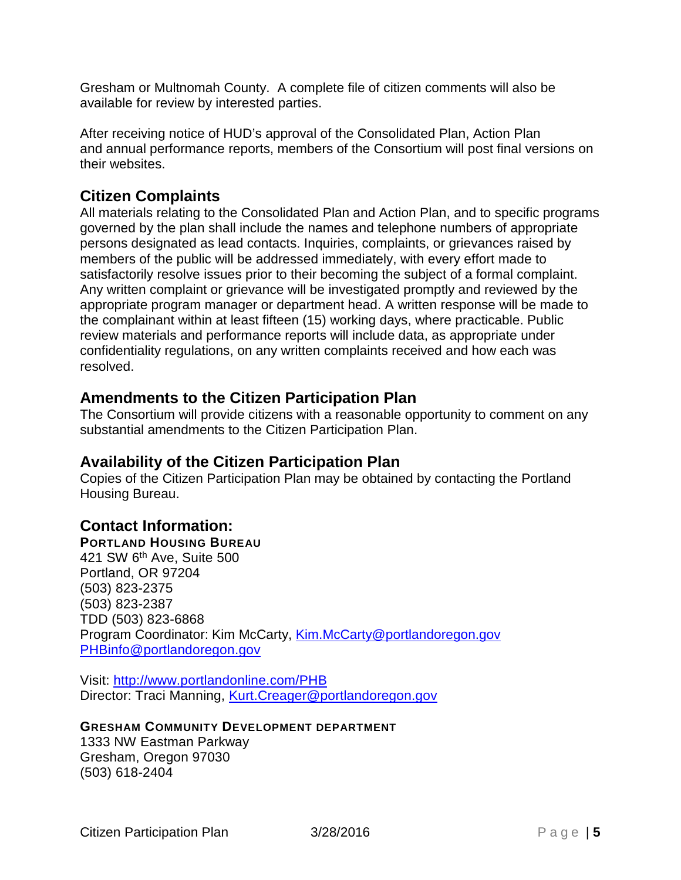Gresham or Multnomah County. A complete file of citizen comments will also be available for review by interested parties.

After receiving notice of HUD's approval of the Consolidated Plan, Action Plan and annual performance reports, members of the Consortium will post final versions on their websites.

#### **Citizen Complaints**

All materials relating to the Consolidated Plan and Action Plan, and to specific programs governed by the plan shall include the names and telephone numbers of appropriate persons designated as lead contacts. Inquiries, complaints, or grievances raised by members of the public will be addressed immediately, with every effort made to satisfactorily resolve issues prior to their becoming the subject of a formal complaint. Any written complaint or grievance will be investigated promptly and reviewed by the appropriate program manager or department head. A written response will be made to the complainant within at least fifteen (15) working days, where practicable. Public review materials and performance reports will include data, as appropriate under confidentiality regulations, on any written complaints received and how each was resolved.

#### **Amendments to the Citizen Participation Plan**

The Consortium will provide citizens with a reasonable opportunity to comment on any substantial amendments to the Citizen Participation Plan.

#### **Availability of the Citizen Participation Plan**

Copies of the Citizen Participation Plan may be obtained by contacting the Portland Housing Bureau.

## **Contact Information:**

#### **PORTLAND HOUSING BUREAU**

421 SW 6th Ave, Suite 500 Portland, OR 97204 (503) 823-2375 (503) 823-2387 TDD (503) 823-6868 Program Coordinator: Kim McCarty, [Kim.McCarty@portlandoregon.gov](mailto:Kim.McCarty@portlandoregon.gov) [PHBinfo@portlandoregon.gov](mailto:PHBinfo@portlandoregon.gov)

Visit:<http://www.portlandonline.com/PHB> Director: Traci Manning, Kurt.Creager@portlandoregon.gov

#### **GRESHAM COMMUNITY DEVELOPMENT DEPARTMENT**

1333 NW Eastman Parkway Gresham, Oregon 97030 (503) 618-2404